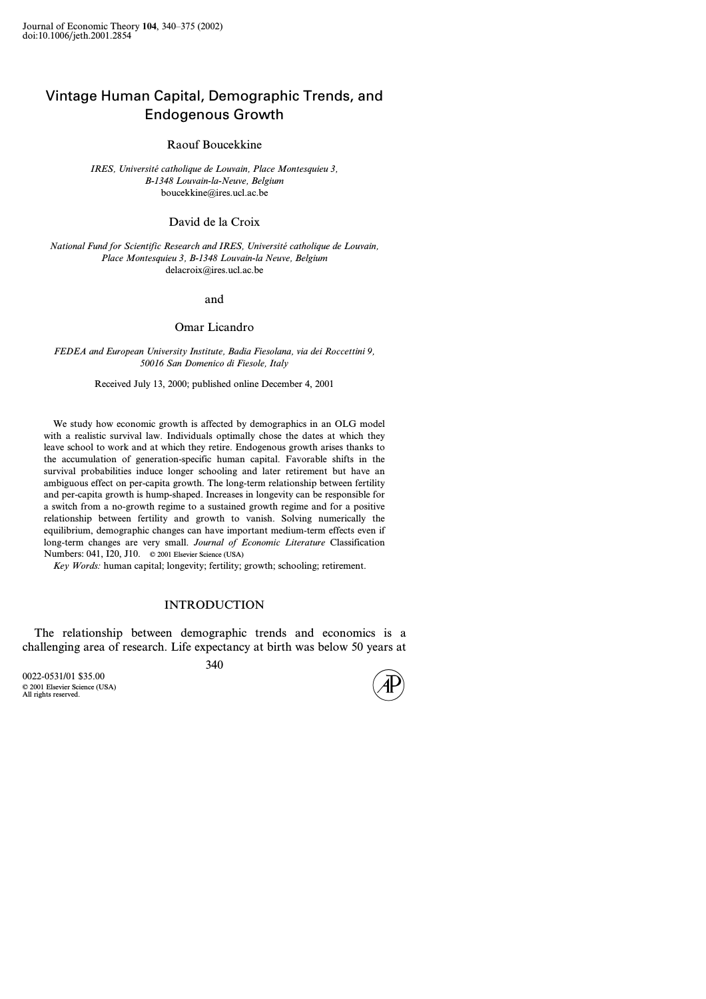# Vintage Human Capital, Demographic Trends, and Endogenous Growth

Raouf Boucekkine

*IRES, Université catholique de Louvain, Place Montesquieu 3, B-1348 Louvain-la-Neuve, Belgium* boucekkine@ires.ucl.ac.be

## David de la Croix

*National Fund for Scientific Research and IRES, Université catholique de Louvain, Place Montesquieu 3, B-1348 Louvain-la Neuve, Belgium* delacroix@ires.ucl.ac.be

#### and

### Omar Licandro

*FEDEA and European University Institute, Badia Fiesolana, via dei Roccettini 9, 50016 San Domenico di Fiesole, Italy*

Received July 13, 2000; published online December 4, 2001

We study how economic growth is affected by demographics in an OLG model with a realistic survival law. Individuals optimally chose the dates at which they leave school to work and at which they retire. Endogenous growth arises thanks to the accumulation of generation-specific human capital. Favorable shifts in the survival probabilities induce longer schooling and later retirement but have an ambiguous effect on per-capita growth. The long-term relationship between fertility and per-capita growth is hump-shaped. Increases in longevity can be responsible for a switch from a no-growth regime to a sustained growth regime and for a positive relationship between fertility and growth to vanish. Solving numerically the equilibrium, demographic changes can have important medium-term effects even if long-term changes are very small. *Journal of Economic Literature* Classification Numbers: 041, I20, J10. © 2001 Elsevier Science (USA)

*Key Words:* human capital; longevity; fertility; growth; schooling; retirement.

#### INTRODUCTION

The relationship between demographic trends and economics is a challenging area of research. Life expectancy at birth was below 50 years at

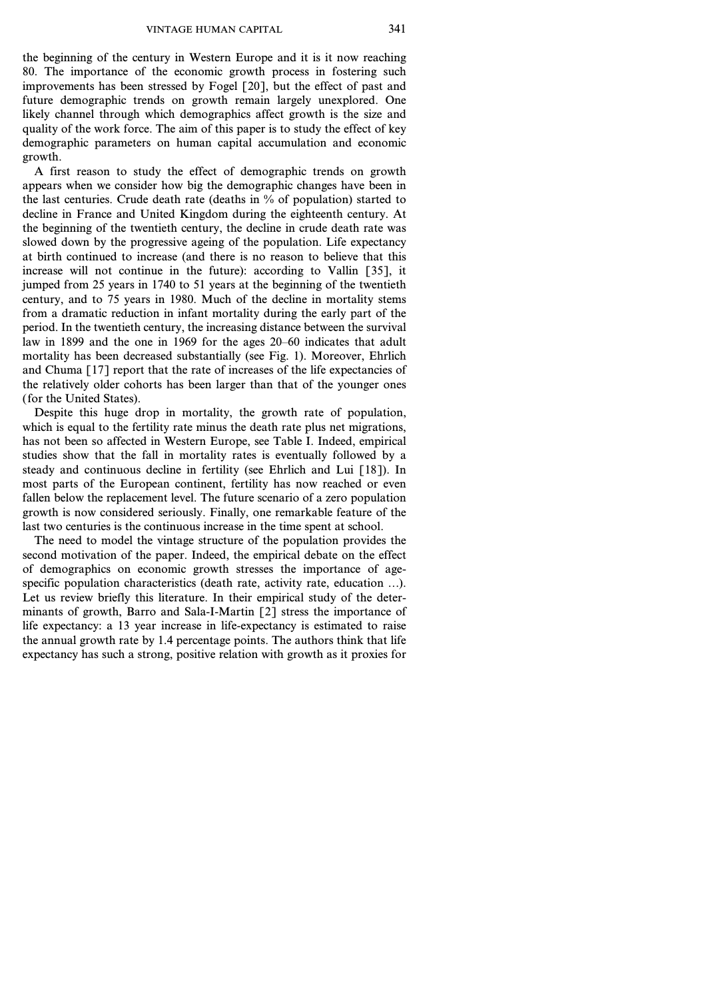the beginning of the century in Western Europe and it is it now reaching 80. The importance of the economic growth process in fostering such improvements has been stressed by Fogel [20], but the effect of past and future demographic trends on growth remain largely unexplored. One likely channel through which demographics affect growth is the size and quality of the work force. The aim of this paper is to study the effect of key demographic parameters on human capital accumulation and economic growth.

A first reason to study the effect of demographic trends on growth appears when we consider how big the demographic changes have been in the last centuries. Crude death rate (deaths in *%* of population) started to decline in France and United Kingdom during the eighteenth century. At the beginning of the twentieth century, the decline in crude death rate was slowed down by the progressive ageing of the population. Life expectancy at birth continued to increase (and there is no reason to believe that this increase will not continue in the future): according to Vallin [35], it jumped from 25 years in 1740 to 51 years at the beginning of the twentieth century, and to 75 years in 1980. Much of the decline in mortality stems from a dramatic reduction in infant mortality during the early part of the period. In the twentieth century, the increasing distance between the survival law in 1899 and the one in 1969 for the ages 20–60 indicates that adult mortality has been decreased substantially (see Fig. 1). Moreover, Ehrlich and Chuma [17] report that the rate of increases of the life expectancies of the relatively older cohorts has been larger than that of the younger ones ( for the United States).

Despite this huge drop in mortality, the growth rate of population, which is equal to the fertility rate minus the death rate plus net migrations, has not been so affected in Western Europe, see Table I. Indeed, empirical studies show that the fall in mortality rates is eventually followed by a steady and continuous decline in fertility (see Ehrlich and Lui [18]). In most parts of the European continent, fertility has now reached or even fallen below the replacement level. The future scenario of a zero population growth is now considered seriously. Finally, one remarkable feature of the last two centuries is the continuous increase in the time spent at school.

The need to model the vintage structure of the population provides the second motivation of the paper. Indeed, the empirical debate on the effect of demographics on economic growth stresses the importance of agespecific population characteristics (death rate, activity rate, education *...*). Let us review briefly this literature. In their empirical study of the determinants of growth, Barro and Sala-I-Martin [2] stress the importance of life expectancy: a 13 year increase in life-expectancy is estimated to raise the annual growth rate by 1.4 percentage points. The authors think that life expectancy has such a strong, positive relation with growth as it proxies for